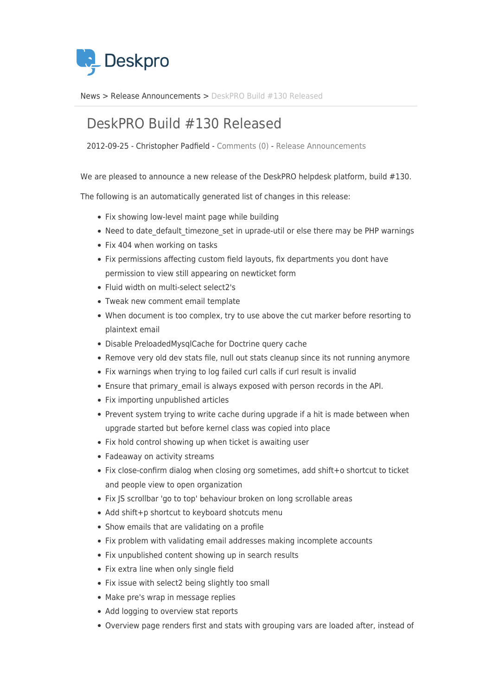

[News](https://support.deskpro.com/sv/news) > [Release Announcements](https://support.deskpro.com/sv/news/release-announcements) > [DeskPRO Build #130 Released](https://support.deskpro.com/sv/news/posts/deskpro-build-130-released)

## DeskPRO Build #130 Released

2012-09-25 - Christopher Padfield - [Comments \(0\)](#page--1-0) - [Release Announcements](https://support.deskpro.com/sv/news/release-announcements)

We are pleased to announce a new release of the DeskPRO helpdesk platform, build #130.

The following is an automatically generated list of changes in this release:

- Fix showing low-level maint page while building
- Need to date default timezone set in uprade-util or else there may be PHP warnings
- Fix 404 when working on tasks
- Fix permissions affecting custom field layouts, fix departments you dont have permission to view still appearing on newticket form
- Fluid width on multi-select select2's
- Tweak new comment email template
- When document is too complex, try to use above the cut marker before resorting to plaintext email
- Disable PreloadedMysqlCache for Doctrine query cache
- Remove very old dev stats file, null out stats cleanup since its not running anymore
- Fix warnings when trying to log failed curl calls if curl result is invalid
- Ensure that primary\_email is always exposed with person records in the API.
- Fix importing unpublished articles
- Prevent system trying to write cache during upgrade if a hit is made between when upgrade started but before kernel class was copied into place
- Fix hold control showing up when ticket is awaiting user
- Fadeaway on activity streams
- Fix close-confirm dialog when closing org sometimes, add shift+o shortcut to ticket and people view to open organization
- Fix JS scrollbar 'go to top' behaviour broken on long scrollable areas
- Add shift+p shortcut to keyboard shotcuts menu
- Show emails that are validating on a profile
- Fix problem with validating email addresses making incomplete accounts
- Fix unpublished content showing up in search results
- Fix extra line when only single field
- Fix issue with select2 being slightly too small
- Make pre's wrap in message replies
- Add logging to overview stat reports
- Overview page renders first and stats with grouping vars are loaded after, instead of